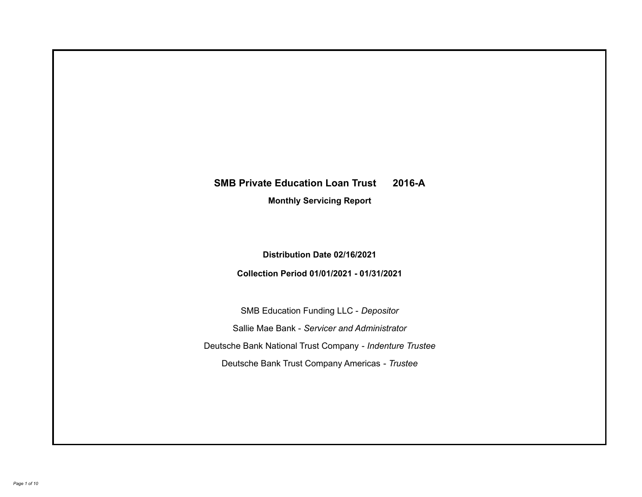# **SMB Private Education Loan Trust 2016-A**

**Monthly Servicing Report**

**Distribution Date 02/16/2021**

**Collection Period 01/01/2021 - 01/31/2021**

SMB Education Funding LLC - *Depositor* Sallie Mae Bank - *Servicer and Administrator* Deutsche Bank National Trust Company - *Indenture Trustee* Deutsche Bank Trust Company Americas - *Trustee*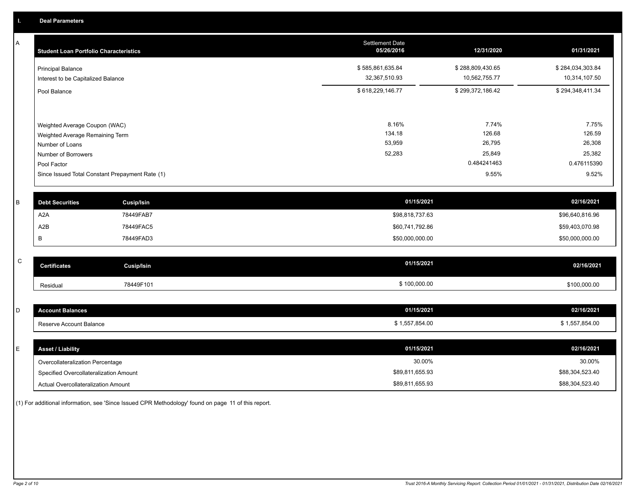A

| А           | <b>Student Loan Portfolio Characteristics</b>      |                                                 | Settlement Date<br>05/26/2016 | 12/31/2020       | 01/31/2021       |
|-------------|----------------------------------------------------|-------------------------------------------------|-------------------------------|------------------|------------------|
|             | <b>Principal Balance</b>                           |                                                 | \$585,861,635.84              | \$288,809,430.65 | \$284,034,303.84 |
|             | Interest to be Capitalized Balance                 |                                                 | 32,367,510.93                 | 10,562,755.77    | 10,314,107.50    |
|             | Pool Balance                                       |                                                 | \$618,229,146.77              | \$299,372,186.42 | \$294,348,411.34 |
|             |                                                    |                                                 | 8.16%                         | 7.74%            | 7.75%            |
|             | Weighted Average Coupon (WAC)                      |                                                 | 134.18                        | 126.68           | 126.59           |
|             | Weighted Average Remaining Term<br>Number of Loans |                                                 | 53,959                        | 26,795           | 26,308           |
|             | Number of Borrowers                                |                                                 | 52,283                        | 25,849           | 25,382           |
|             | Pool Factor                                        |                                                 |                               | 0.484241463      | 0.476115390      |
|             |                                                    | Since Issued Total Constant Prepayment Rate (1) |                               | 9.55%            | 9.52%            |
| B           | <b>Debt Securities</b>                             | <b>Cusip/Isin</b>                               | 01/15/2021                    |                  | 02/16/2021       |
|             | A <sub>2</sub> A                                   | 78449FAB7                                       | \$98,818,737.63               |                  | \$96,640,816.96  |
|             | A <sub>2</sub> B                                   | 78449FAC5                                       | \$60,741,792.86               |                  | \$59,403,070.98  |
|             | В                                                  | 78449FAD3                                       | \$50,000,000.00               |                  | \$50,000,000.00  |
|             |                                                    |                                                 |                               |                  |                  |
| $\mathsf C$ | <b>Certificates</b>                                | <b>Cusip/Isin</b>                               | 01/15/2021                    |                  | 02/16/2021       |
|             | Residual                                           | 78449F101                                       | \$100,000.00                  |                  | \$100,000.00     |
|             |                                                    |                                                 |                               |                  |                  |
| D           | <b>Account Balances</b>                            |                                                 | 01/15/2021                    |                  | 02/16/2021       |
|             | Reserve Account Balance                            |                                                 | \$1,557,854.00                |                  | \$1,557,854.00   |

| E | <b>Asset / Liability</b>               | 01/15/2021      | 02/16/2021      |
|---|----------------------------------------|-----------------|-----------------|
|   | Overcollateralization Percentage       | 30.00%          | 30.00%          |
|   | Specified Overcollateralization Amount | \$89,811,655.93 | \$88,304,523.40 |
|   | Actual Overcollateralization Amount    | \$89,811,655.93 | \$88,304,523.40 |

(1) For additional information, see 'Since Issued CPR Methodology' found on page 11 of this report.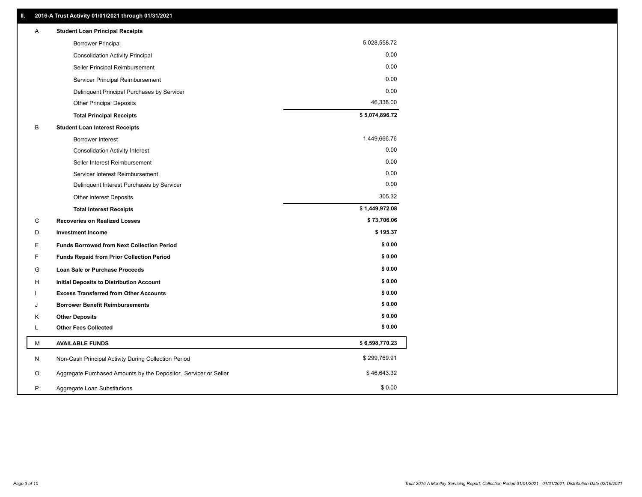| Α | <b>Student Loan Principal Receipts</b>                           |                |  |
|---|------------------------------------------------------------------|----------------|--|
|   | <b>Borrower Principal</b>                                        | 5,028,558.72   |  |
|   | <b>Consolidation Activity Principal</b>                          | 0.00           |  |
|   | Seller Principal Reimbursement                                   | 0.00           |  |
|   | Servicer Principal Reimbursement                                 | 0.00           |  |
|   | Delinquent Principal Purchases by Servicer                       | 0.00           |  |
|   | <b>Other Principal Deposits</b>                                  | 46,338.00      |  |
|   | <b>Total Principal Receipts</b>                                  | \$5,074,896.72 |  |
| B | <b>Student Loan Interest Receipts</b>                            |                |  |
|   | <b>Borrower Interest</b>                                         | 1,449,666.76   |  |
|   | <b>Consolidation Activity Interest</b>                           | 0.00           |  |
|   | Seller Interest Reimbursement                                    | 0.00           |  |
|   | Servicer Interest Reimbursement                                  | 0.00           |  |
|   | Delinquent Interest Purchases by Servicer                        | 0.00           |  |
|   | Other Interest Deposits                                          | 305.32         |  |
|   | <b>Total Interest Receipts</b>                                   | \$1,449,972.08 |  |
| C | <b>Recoveries on Realized Losses</b>                             | \$73,706.06    |  |
| D | <b>Investment Income</b>                                         | \$195.37       |  |
| Е | <b>Funds Borrowed from Next Collection Period</b>                | \$0.00         |  |
| F | <b>Funds Repaid from Prior Collection Period</b>                 | \$0.00         |  |
| G | Loan Sale or Purchase Proceeds                                   | \$0.00         |  |
| H | <b>Initial Deposits to Distribution Account</b>                  | \$0.00         |  |
|   | <b>Excess Transferred from Other Accounts</b>                    | \$0.00         |  |
| J | <b>Borrower Benefit Reimbursements</b>                           | \$0.00         |  |
| ĸ | <b>Other Deposits</b>                                            | \$0.00         |  |
| L | <b>Other Fees Collected</b>                                      | \$0.00         |  |
| м | <b>AVAILABLE FUNDS</b>                                           | \$6,598,770.23 |  |
| N | Non-Cash Principal Activity During Collection Period             | \$299,769.91   |  |
| O | Aggregate Purchased Amounts by the Depositor, Servicer or Seller | \$46,643.32    |  |
| P | Aggregate Loan Substitutions                                     | \$0.00         |  |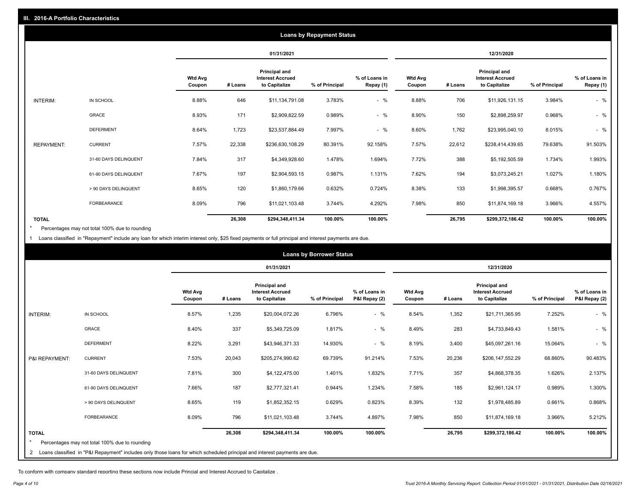|                   |                       |                          | <b>Loans by Repayment Status</b> |                                                           |                |                            |                          |         |                                                           |                |                            |
|-------------------|-----------------------|--------------------------|----------------------------------|-----------------------------------------------------------|----------------|----------------------------|--------------------------|---------|-----------------------------------------------------------|----------------|----------------------------|
|                   |                       |                          | 01/31/2021                       |                                                           |                | 12/31/2020                 |                          |         |                                                           |                |                            |
|                   |                       | <b>Wtd Avg</b><br>Coupon | # Loans                          | Principal and<br><b>Interest Accrued</b><br>to Capitalize | % of Principal | % of Loans in<br>Repay (1) | <b>Wtd Avg</b><br>Coupon | # Loans | Principal and<br><b>Interest Accrued</b><br>to Capitalize | % of Principal | % of Loans in<br>Repay (1) |
| INTERIM:          | IN SCHOOL             | 8.88%                    | 646                              | \$11,134,791.08                                           | 3.783%         | $-$ %                      | 8.88%                    | 706     | \$11,926,131.15                                           | 3.984%         | $-$ %                      |
|                   | GRACE                 | 8.93%                    | 171                              | \$2,909,822.59                                            | 0.989%         | $-$ %                      | 8.90%                    | 150     | \$2,898,259.97                                            | 0.968%         | $-$ %                      |
|                   | <b>DEFERMENT</b>      | 8.64%                    | 1,723                            | \$23,537,884.49                                           | 7.997%         | $-$ %                      | 8.60%                    | 1,762   | \$23,995,040.10                                           | 8.015%         | $-$ %                      |
| <b>REPAYMENT:</b> | <b>CURRENT</b>        | 7.57%                    | 22,338                           | \$236,630,108.29                                          | 80.391%        | 92.158%                    | 7.57%                    | 22,612  | \$238,414,439.65                                          | 79.638%        | 91.503%                    |
|                   | 31-60 DAYS DELINQUENT | 7.84%                    | 317                              | \$4,349,928.60                                            | 1.478%         | 1.694%                     | 7.72%                    | 388     | \$5,192,505.59                                            | 1.734%         | 1.993%                     |
|                   | 61-90 DAYS DELINQUENT | 7.67%                    | 197                              | \$2,904,593.15                                            | 0.987%         | 1.131%                     | 7.62%                    | 194     | \$3,073,245.21                                            | 1.027%         | 1.180%                     |
|                   | > 90 DAYS DELINQUENT  | 8.65%                    | 120                              | \$1,860,179.66                                            | 0.632%         | 0.724%                     | 8.38%                    | 133     | \$1,998,395.57                                            | 0.668%         | 0.767%                     |
|                   | <b>FORBEARANCE</b>    | 8.09%                    | 796                              | \$11,021,103.48                                           | 3.744%         | 4.292%                     | 7.98%                    | 850     | \$11,874,169.18                                           | 3.966%         | 4.557%                     |
| <b>TOTAL</b>      |                       |                          | 26,308                           | \$294,348,411.34                                          | 100.00%        | 100.00%                    |                          | 26,795  | \$299,372,186.42                                          | 100.00%        | 100.00%                    |

Percentages may not total 100% due to rounding \*

1 Loans classified in "Repayment" include any loan for which interim interest only, \$25 fixed payments or full principal and interest payments are due.

|                |                                                                                                                              |                          | <b>Loans by Borrower Status</b> |                                                                  |                |                                |                          |         |                                                           |                |                                |
|----------------|------------------------------------------------------------------------------------------------------------------------------|--------------------------|---------------------------------|------------------------------------------------------------------|----------------|--------------------------------|--------------------------|---------|-----------------------------------------------------------|----------------|--------------------------------|
|                |                                                                                                                              |                          |                                 | 01/31/2021                                                       |                |                                | 12/31/2020               |         |                                                           |                |                                |
|                |                                                                                                                              | <b>Wtd Avg</b><br>Coupon | # Loans                         | <b>Principal and</b><br><b>Interest Accrued</b><br>to Capitalize | % of Principal | % of Loans in<br>P&I Repay (2) | <b>Wtd Avg</b><br>Coupon | # Loans | Principal and<br><b>Interest Accrued</b><br>to Capitalize | % of Principal | % of Loans in<br>P&I Repay (2) |
| INTERIM:       | IN SCHOOL                                                                                                                    | 8.57%                    | 1,235                           | \$20,004,072.26                                                  | 6.796%         | $-$ %                          | 8.54%                    | 1,352   | \$21,711,365.95                                           | 7.252%         | $-$ %                          |
|                | <b>GRACE</b>                                                                                                                 | 8.40%                    | 337                             | \$5,349,725.09                                                   | 1.817%         | $-$ %                          | 8.49%                    | 283     | \$4,733,849.43                                            | 1.581%         | $-$ %                          |
|                | <b>DEFERMENT</b>                                                                                                             | 8.22%                    | 3,291                           | \$43,946,371.33                                                  | 14.930%        | $-$ %                          | 8.19%                    | 3,400   | \$45,097,261.16                                           | 15.064%        | $-$ %                          |
| P&I REPAYMENT: | <b>CURRENT</b>                                                                                                               | 7.53%                    | 20,043                          | \$205,274,990.62                                                 | 69.739%        | 91.214%                        | 7.53%                    | 20,236  | \$206,147,552.29                                          | 68.860%        | 90.483%                        |
|                | 31-60 DAYS DELINQUENT                                                                                                        | 7.81%                    | 300                             | \$4,122,475.00                                                   | 1.401%         | 1.832%                         | 7.71%                    | 357     | \$4,868,378.35                                            | 1.626%         | 2.137%                         |
|                | 61-90 DAYS DELINQUENT                                                                                                        | 7.66%                    | 187                             | \$2,777,321.41                                                   | 0.944%         | 1.234%                         | 7.58%                    | 185     | \$2,961,124.17                                            | 0.989%         | 1.300%                         |
|                | > 90 DAYS DELINQUENT                                                                                                         | 8.65%                    | 119                             | \$1,852,352.15                                                   | 0.629%         | 0.823%                         | 8.39%                    | 132     | \$1,978,485.89                                            | 0.661%         | 0.868%                         |
|                | FORBEARANCE                                                                                                                  | 8.09%                    | 796                             | \$11,021,103.48                                                  | 3.744%         | 4.897%                         | 7.98%                    | 850     | \$11,874,169.18                                           | 3.966%         | 5.212%                         |
| <b>TOTAL</b>   | Percentages may not total 100% due to rounding                                                                               |                          | 26,308                          | \$294,348,411.34                                                 | 100.00%        | 100.00%                        |                          | 26,795  | \$299,372,186.42                                          | 100.00%        | 100.00%                        |
|                | 2 Loans classified in "P&I Repayment" includes only those loans for which scheduled principal and interest payments are due. |                          |                                 |                                                                  |                |                                |                          |         |                                                           |                |                                |

To conform with company standard reporting these sections now include Princial and Interest Accrued to Capitalize .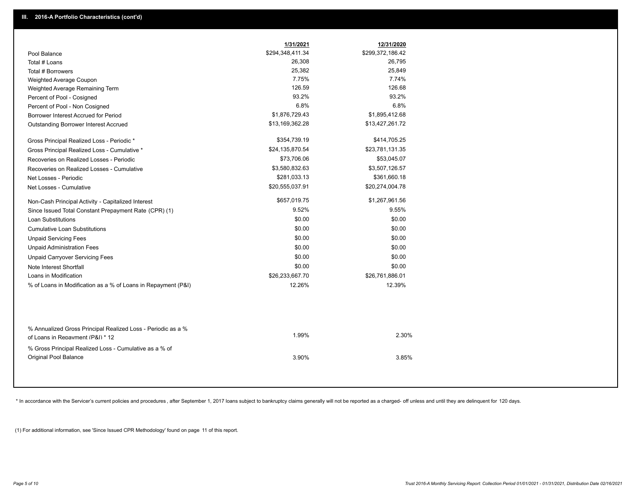|                                                                                        | 1/31/2021        | 12/31/2020       |
|----------------------------------------------------------------------------------------|------------------|------------------|
| Pool Balance                                                                           | \$294,348,411.34 | \$299,372,186.42 |
| Total # Loans                                                                          | 26,308           | 26,795           |
| Total # Borrowers                                                                      | 25,382           | 25,849           |
| Weighted Average Coupon                                                                | 7.75%            | 7.74%            |
| Weighted Average Remaining Term                                                        | 126.59           | 126.68           |
| Percent of Pool - Cosigned                                                             | 93.2%            | 93.2%            |
| Percent of Pool - Non Cosigned                                                         | 6.8%             | 6.8%             |
| Borrower Interest Accrued for Period                                                   | \$1,876,729.43   | \$1,895,412.68   |
| Outstanding Borrower Interest Accrued                                                  | \$13,169,362.28  | \$13,427,261.72  |
| Gross Principal Realized Loss - Periodic *                                             | \$354,739.19     | \$414,705.25     |
| Gross Principal Realized Loss - Cumulative *                                           | \$24,135,870.54  | \$23,781,131.35  |
| Recoveries on Realized Losses - Periodic                                               | \$73,706.06      | \$53,045.07      |
| Recoveries on Realized Losses - Cumulative                                             | \$3,580,832.63   | \$3,507,126.57   |
| Net Losses - Periodic                                                                  | \$281,033.13     | \$361,660.18     |
| Net Losses - Cumulative                                                                | \$20,555,037.91  | \$20,274,004.78  |
| Non-Cash Principal Activity - Capitalized Interest                                     | \$657,019.75     | \$1,267,961.56   |
| Since Issued Total Constant Prepayment Rate (CPR) (1)                                  | 9.52%            | 9.55%            |
| <b>Loan Substitutions</b>                                                              | \$0.00           | \$0.00           |
| <b>Cumulative Loan Substitutions</b>                                                   | \$0.00           | \$0.00           |
| <b>Unpaid Servicing Fees</b>                                                           | \$0.00           | \$0.00           |
| <b>Unpaid Administration Fees</b>                                                      | \$0.00           | \$0.00           |
| <b>Unpaid Carryover Servicing Fees</b>                                                 | \$0.00           | \$0.00           |
| Note Interest Shortfall                                                                | \$0.00           | \$0.00           |
| Loans in Modification                                                                  | \$26,233,667.70  | \$26,761,886.01  |
| % of Loans in Modification as a % of Loans in Repayment (P&I)                          | 12.26%           | 12.39%           |
| % Annualized Gross Principal Realized Loss - Periodic as a %                           |                  |                  |
| of Loans in Repayment (P&I) * 12                                                       | 1.99%            | 2.30%            |
| % Gross Principal Realized Loss - Cumulative as a % of<br><b>Original Pool Balance</b> | 3.90%            | 3.85%            |

\* In accordance with the Servicer's current policies and procedures, after September 1, 2017 loans subject to bankruptcy claims generally will not be reported as a charged- off unless and until they are delinquent for 120

(1) For additional information, see 'Since Issued CPR Methodology' found on page 11 of this report.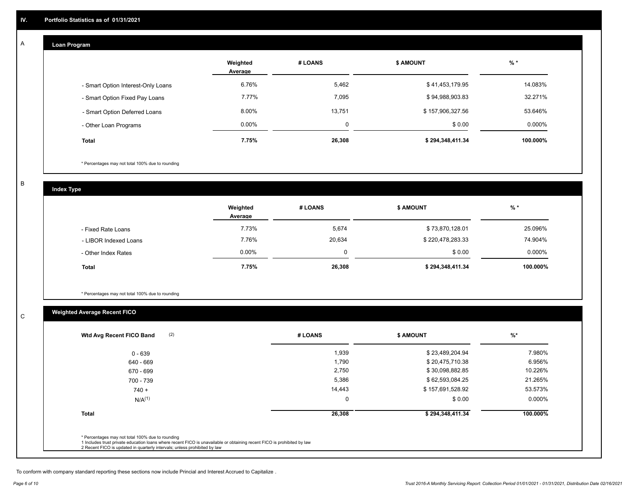#### **Loan Program**  A

|                                    | Weighted<br>Average | # LOANS | <b>\$ AMOUNT</b> | $%$ *    |
|------------------------------------|---------------------|---------|------------------|----------|
| - Smart Option Interest-Only Loans | 6.76%               | 5,462   | \$41,453,179.95  | 14.083%  |
| - Smart Option Fixed Pay Loans     | 7.77%               | 7.095   | \$94,988,903.83  | 32.271%  |
| - Smart Option Deferred Loans      | 8.00%               | 13,751  | \$157,906,327.56 | 53.646%  |
| - Other Loan Programs              | $0.00\%$            | 0       | \$0.00           | 0.000%   |
| <b>Total</b>                       | 7.75%               | 26,308  | \$294,348,411.34 | 100.000% |

\* Percentages may not total 100% due to rounding

B

C

**Index Type**

|                       | Weighted<br>Average | # LOANS | <b>S AMOUNT</b>  | $%$ *     |
|-----------------------|---------------------|---------|------------------|-----------|
| - Fixed Rate Loans    | 7.73%               | 5,674   | \$73,870,128.01  | 25.096%   |
| - LIBOR Indexed Loans | 7.76%               | 20,634  | \$220,478,283.33 | 74.904%   |
| - Other Index Rates   | $0.00\%$            | 0       | \$0.00           | $0.000\%$ |
| Total                 | 7.75%               | 26,308  | \$294,348,411.34 | 100.000%  |

\* Percentages may not total 100% due to rounding

# **Weighted Average Recent FICO**

| (2)<br>Wtd Avg Recent FICO Band | # LOANS     | <b>\$ AMOUNT</b> | $%$ *     |
|---------------------------------|-------------|------------------|-----------|
| $0 - 639$                       | 1,939       | \$23,489,204.94  | 7.980%    |
| 640 - 669                       | 1,790       | \$20,475,710.38  | 6.956%    |
| 670 - 699                       | 2,750       | \$30,098,882.85  | 10.226%   |
| 700 - 739                       | 5,386       | \$62,593,084.25  | 21.265%   |
| $740 +$                         | 14,443      | \$157,691,528.92 | 53.573%   |
| $N/A^{(1)}$                     | $\mathbf 0$ | \$0.00           | $0.000\%$ |
| <b>Total</b>                    | 26,308      | \$294,348,411.34 | 100.000%  |

To conform with company standard reporting these sections now include Princial and Interest Accrued to Capitalize .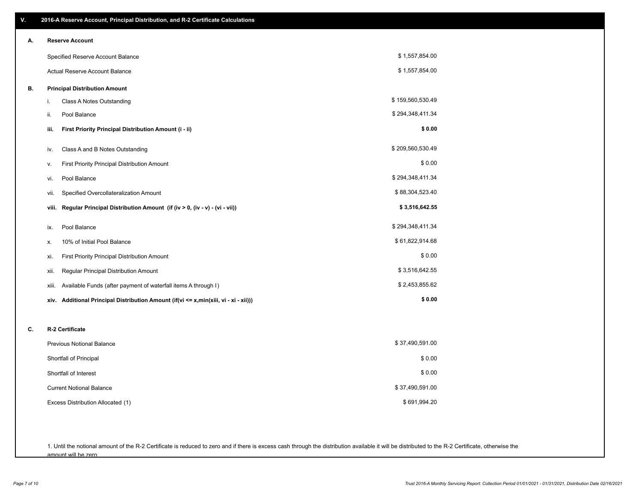| V. | 2016-A Reserve Account, Principal Distribution, and R-2 Certificate Calculations        |                  |  |
|----|-----------------------------------------------------------------------------------------|------------------|--|
| А. | <b>Reserve Account</b>                                                                  |                  |  |
|    | Specified Reserve Account Balance                                                       | \$1,557,854.00   |  |
|    | Actual Reserve Account Balance                                                          | \$1,557,854.00   |  |
| В. | <b>Principal Distribution Amount</b>                                                    |                  |  |
|    | i.<br>Class A Notes Outstanding                                                         | \$159,560,530.49 |  |
|    | Pool Balance<br>ii.                                                                     | \$294,348,411.34 |  |
|    | iii.<br>First Priority Principal Distribution Amount (i - ii)                           | \$0.00           |  |
|    | Class A and B Notes Outstanding<br>iv.                                                  | \$209,560,530.49 |  |
|    | First Priority Principal Distribution Amount<br>٧.                                      | \$0.00           |  |
|    | Pool Balance<br>vi.                                                                     | \$294,348,411.34 |  |
|    | Specified Overcollateralization Amount<br>vii.                                          | \$88,304,523.40  |  |
|    | Regular Principal Distribution Amount (if (iv > 0, (iv - v) - (vi - vii))<br>viii.      | \$3,516,642.55   |  |
|    | Pool Balance<br>ix.                                                                     | \$294,348,411.34 |  |
|    | 10% of Initial Pool Balance<br>Х.                                                       | \$61,822,914.68  |  |
|    | First Priority Principal Distribution Amount<br>xi.                                     | \$0.00           |  |
|    | Regular Principal Distribution Amount<br>xii.                                           | \$3,516,642.55   |  |
|    | Available Funds (after payment of waterfall items A through I)<br>xiii.                 | \$2,453,855.62   |  |
|    | Additional Principal Distribution Amount (if(vi <= x,min(xiii, vi - xi - xii)))<br>xiv. | \$0.00           |  |
|    | R-2 Certificate                                                                         |                  |  |
| C. | <b>Previous Notional Balance</b>                                                        | \$37,490,591.00  |  |
|    | Shortfall of Principal                                                                  | \$0.00           |  |
|    | Shortfall of Interest                                                                   | \$0.00           |  |
|    | <b>Current Notional Balance</b>                                                         | \$37,490,591.00  |  |
|    | Excess Distribution Allocated (1)                                                       | \$691,994.20     |  |
|    |                                                                                         |                  |  |
|    |                                                                                         |                  |  |
|    |                                                                                         |                  |  |

1. Until the notional amount of the R-2 Certificate is reduced to zero and if there is excess cash through the distribution available it will be distributed to the R-2 Certificate, otherwise the amount will be zero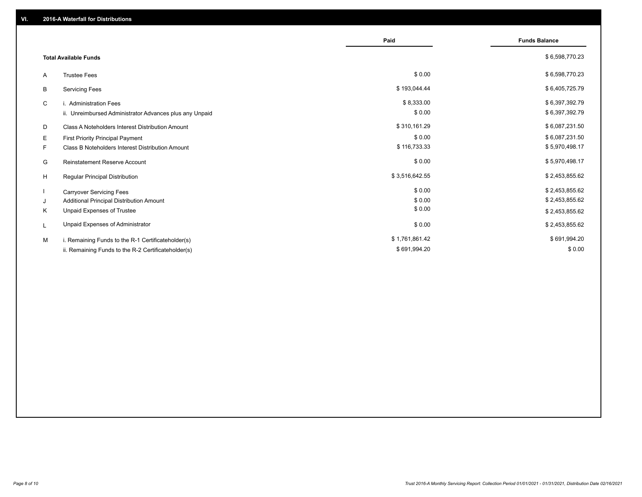|                                                         | Paid           | <b>Funds Balance</b> |
|---------------------------------------------------------|----------------|----------------------|
| <b>Total Available Funds</b>                            |                | \$6,598,770.23       |
| <b>Trustee Fees</b><br>A                                | \$0.00         | \$6,598,770.23       |
| <b>Servicing Fees</b><br>В                              | \$193,044.44   | \$6,405,725.79       |
| C<br>i. Administration Fees                             | \$8,333.00     | \$6,397,392.79       |
| ii. Unreimbursed Administrator Advances plus any Unpaid | \$0.00         | \$6,397,392.79       |
| Class A Noteholders Interest Distribution Amount<br>D   | \$310,161.29   | \$6,087,231.50       |
| Е<br>First Priority Principal Payment                   | \$0.00         | \$6,087,231.50       |
| Class B Noteholders Interest Distribution Amount<br>F.  | \$116,733.33   | \$5,970,498.17       |
| <b>Reinstatement Reserve Account</b><br>G               | \$0.00         | \$5,970,498.17       |
| H<br>Regular Principal Distribution                     | \$3,516,642.55 | \$2,453,855.62       |
| <b>Carryover Servicing Fees</b>                         | \$0.00         | \$2,453,855.62       |
| Additional Principal Distribution Amount<br>J           | \$0.00         | \$2,453,855.62       |
| Unpaid Expenses of Trustee<br>Κ                         | \$0.00         | \$2,453,855.62       |
| Unpaid Expenses of Administrator<br>L                   | \$0.00         | \$2,453,855.62       |
| i. Remaining Funds to the R-1 Certificateholder(s)<br>м | \$1,761,861.42 | \$691,994.20         |
| ii. Remaining Funds to the R-2 Certificateholder(s)     | \$691,994.20   | \$0.00               |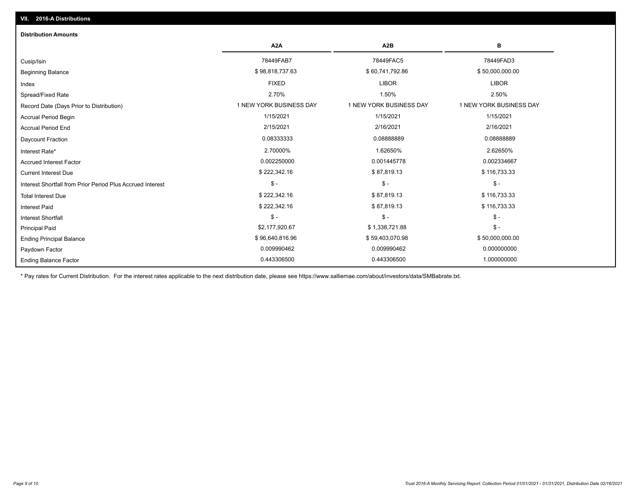| <b>Distribution Amounts</b>                                |                         |                         |                         |
|------------------------------------------------------------|-------------------------|-------------------------|-------------------------|
|                                                            | A <sub>2</sub> A        | A2B                     | в                       |
| Cusip/Isin                                                 | 78449FAB7               | 78449FAC5               | 78449FAD3               |
| <b>Beginning Balance</b>                                   | \$98,818,737.63         | \$60,741,792.86         | \$50,000,000.00         |
| Index                                                      | <b>FIXED</b>            | <b>LIBOR</b>            | <b>LIBOR</b>            |
| Spread/Fixed Rate                                          | 2.70%                   | 1.50%                   | 2.50%                   |
| Record Date (Days Prior to Distribution)                   | 1 NEW YORK BUSINESS DAY | 1 NEW YORK BUSINESS DAY | 1 NEW YORK BUSINESS DAY |
| <b>Accrual Period Begin</b>                                | 1/15/2021               | 1/15/2021               | 1/15/2021               |
| <b>Accrual Period End</b>                                  | 2/15/2021               | 2/16/2021               | 2/16/2021               |
| Daycount Fraction                                          | 0.08333333              | 0.0888889               | 0.08888889              |
| Interest Rate*                                             | 2.70000%                | 1.62650%                | 2.62650%                |
| <b>Accrued Interest Factor</b>                             | 0.002250000             | 0.001445778             | 0.002334667             |
| <b>Current Interest Due</b>                                | \$222,342.16            | \$87,819.13             | \$116,733.33            |
| Interest Shortfall from Prior Period Plus Accrued Interest | $\mathsf{\$}$ -         | $$ -$                   | $\mathsf{\$}$ -         |
| <b>Total Interest Due</b>                                  | \$222,342.16            | \$87,819.13             | \$116,733.33            |
| <b>Interest Paid</b>                                       | \$222,342.16            | \$87,819.13             | \$116,733.33            |
| <b>Interest Shortfall</b>                                  | $\frac{1}{2}$           | $\frac{1}{2}$           | $$ -$                   |
| <b>Principal Paid</b>                                      | \$2,177,920.67          | \$1,338,721.88          | $$ -$                   |
| <b>Ending Principal Balance</b>                            | \$96,640,816.96         | \$59,403,070.98         | \$50,000,000.00         |
| Paydown Factor                                             | 0.009990462             | 0.009990462             | 0.000000000             |
| <b>Ending Balance Factor</b>                               | 0.443306500             | 0.443306500             | 1.000000000             |

\* Pay rates for Current Distribution. For the interest rates applicable to the next distribution date, please see https://www.salliemae.com/about/investors/data/SMBabrate.txt.

**VII. 2016-A Distributions**